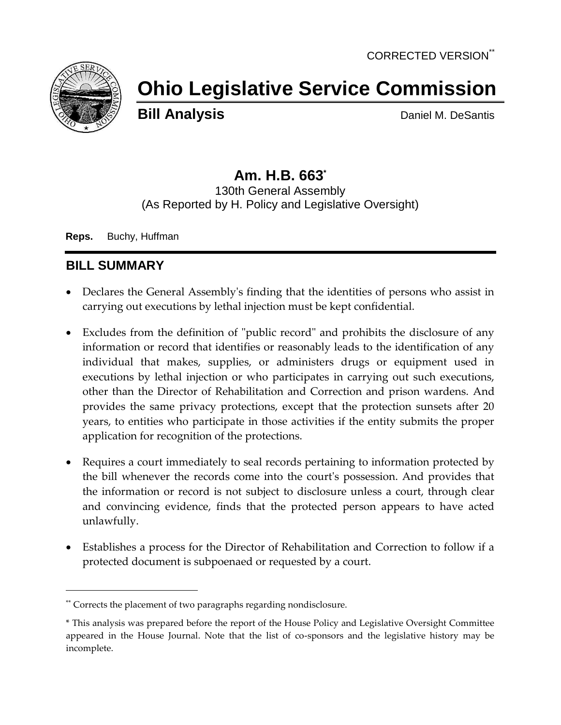

# **Ohio Legislative Service Commission**

**Bill Analysis** Daniel M. DeSantis

# **Am. H.B. 663\***

130th General Assembly (As Reported by H. Policy and Legislative Oversight)

**Reps.** Buchy, Huffman

## **BILL SUMMARY**

- Declares the General Assembly's finding that the identities of persons who assist in carrying out executions by lethal injection must be kept confidential.
- Excludes from the definition of "public record" and prohibits the disclosure of any information or record that identifies or reasonably leads to the identification of any individual that makes, supplies, or administers drugs or equipment used in executions by lethal injection or who participates in carrying out such executions, other than the Director of Rehabilitation and Correction and prison wardens. And provides the same privacy protections, except that the protection sunsets after 20 years, to entities who participate in those activities if the entity submits the proper application for recognition of the protections.
- Requires a court immediately to seal records pertaining to information protected by the bill whenever the records come into the court's possession. And provides that the information or record is not subject to disclosure unless a court, through clear and convincing evidence, finds that the protected person appears to have acted unlawfully.
- Establishes a process for the Director of Rehabilitation and Correction to follow if a protected document is subpoenaed or requested by a court.

<sup>\*\*</sup> Corrects the placement of two paragraphs regarding nondisclosure.

<sup>\*</sup> This analysis was prepared before the report of the House Policy and Legislative Oversight Committee appeared in the House Journal. Note that the list of co-sponsors and the legislative history may be incomplete.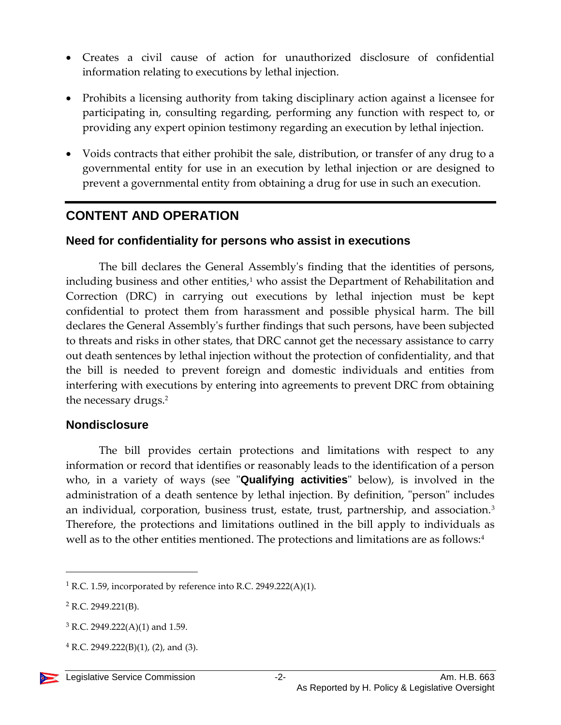- Creates a civil cause of action for unauthorized disclosure of confidential information relating to executions by lethal injection.
- Prohibits a licensing authority from taking disciplinary action against a licensee for participating in, consulting regarding, performing any function with respect to, or providing any expert opinion testimony regarding an execution by lethal injection.
- Voids contracts that either prohibit the sale, distribution, or transfer of any drug to a governmental entity for use in an execution by lethal injection or are designed to prevent a governmental entity from obtaining a drug for use in such an execution.

## **CONTENT AND OPERATION**

### **Need for confidentiality for persons who assist in executions**

The bill declares the General Assembly's finding that the identities of persons, including business and other entities, $1$  who assist the Department of Rehabilitation and Correction (DRC) in carrying out executions by lethal injection must be kept confidential to protect them from harassment and possible physical harm. The bill declares the General Assembly's further findings that such persons, have been subjected to threats and risks in other states, that DRC cannot get the necessary assistance to carry out death sentences by lethal injection without the protection of confidentiality, and that the bill is needed to prevent foreign and domestic individuals and entities from interfering with executions by entering into agreements to prevent DRC from obtaining the necessary drugs.<sup>2</sup>

#### **Nondisclosure**

The bill provides certain protections and limitations with respect to any information or record that identifies or reasonably leads to the identification of a person who, in a variety of ways (see "**Qualifying activities**" below), is involved in the administration of a death sentence by lethal injection. By definition, "person" includes an individual, corporation, business trust, estate, trust, partnership, and association.<sup>3</sup> Therefore, the protections and limitations outlined in the bill apply to individuals as well as to the other entities mentioned. The protections and limitations are as follows:<sup>4</sup>

 $^{4}$  R.C. 2949.222(B)(1), (2), and (3).



<sup>&</sup>lt;sup>1</sup> R.C. 1.59, incorporated by reference into R.C. 2949.222(A)(1).

 $2$  R.C. 2949.221(B).

 $3$  R.C. 2949.222(A)(1) and 1.59.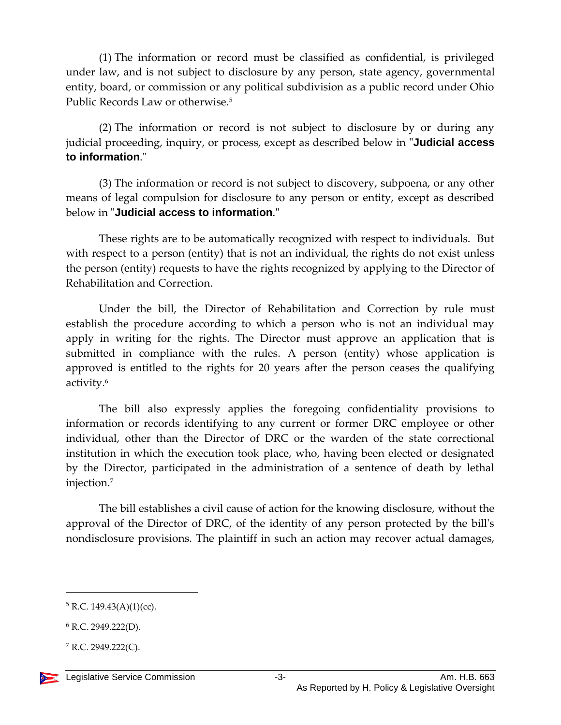(1) The information or record must be classified as confidential, is privileged under law, and is not subject to disclosure by any person, state agency, governmental entity, board, or commission or any political subdivision as a public record under Ohio Public Records Law or otherwise.<sup>5</sup>

(2) The information or record is not subject to disclosure by or during any judicial proceeding, inquiry, or process, except as described below in "**Judicial access to information**."

(3) The information or record is not subject to discovery, subpoena, or any other means of legal compulsion for disclosure to any person or entity, except as described below in "**Judicial access to information**."

These rights are to be automatically recognized with respect to individuals. But with respect to a person (entity) that is not an individual, the rights do not exist unless the person (entity) requests to have the rights recognized by applying to the Director of Rehabilitation and Correction.

Under the bill, the Director of Rehabilitation and Correction by rule must establish the procedure according to which a person who is not an individual may apply in writing for the rights. The Director must approve an application that is submitted in compliance with the rules. A person (entity) whose application is approved is entitled to the rights for 20 years after the person ceases the qualifying activity. 6

The bill also expressly applies the foregoing confidentiality provisions to information or records identifying to any current or former DRC employee or other individual, other than the Director of DRC or the warden of the state correctional institution in which the execution took place, who, having been elected or designated by the Director, participated in the administration of a sentence of death by lethal injection.<sup>7</sup>

The bill establishes a civil cause of action for the knowing disclosure, without the approval of the Director of DRC, of the identity of any person protected by the bill's nondisclosure provisions. The plaintiff in such an action may recover actual damages,

 $5$  R.C. 149.43(A)(1)(cc).

 $6$  R.C. 2949.222(D).

 $7$  R.C. 2949.222(C).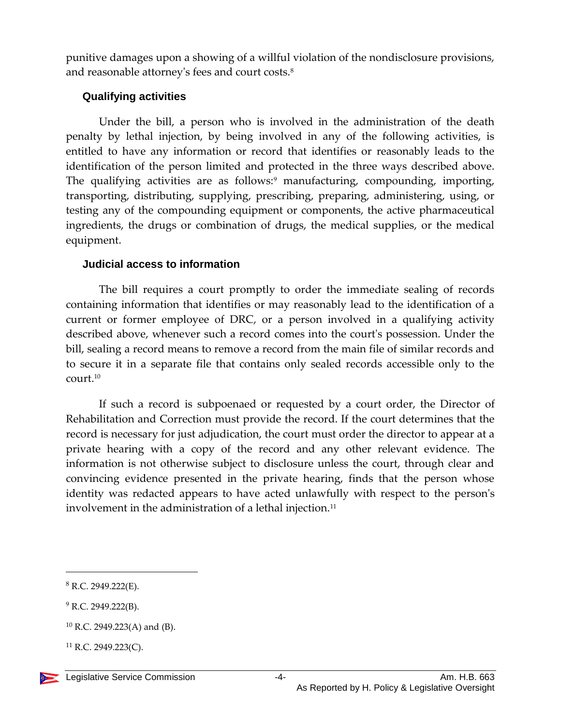punitive damages upon a showing of a willful violation of the nondisclosure provisions, and reasonable attorney's fees and court costs.<sup>8</sup>

#### **Qualifying activities**

Under the bill, a person who is involved in the administration of the death penalty by lethal injection, by being involved in any of the following activities, is entitled to have any information or record that identifies or reasonably leads to the identification of the person limited and protected in the three ways described above. The qualifying activities are as follows:<sup>9</sup> manufacturing, compounding, importing, transporting, distributing, supplying, prescribing, preparing, administering, using, or testing any of the compounding equipment or components, the active pharmaceutical ingredients, the drugs or combination of drugs, the medical supplies, or the medical equipment.

#### **Judicial access to information**

The bill requires a court promptly to order the immediate sealing of records containing information that identifies or may reasonably lead to the identification of a current or former employee of DRC, or a person involved in a qualifying activity described above, whenever such a record comes into the court's possession. Under the bill, sealing a record means to remove a record from the main file of similar records and to secure it in a separate file that contains only sealed records accessible only to the court.<sup>10</sup>

If such a record is subpoenaed or requested by a court order, the Director of Rehabilitation and Correction must provide the record. If the court determines that the record is necessary for just adjudication, the court must order the director to appear at a private hearing with a copy of the record and any other relevant evidence. The information is not otherwise subject to disclosure unless the court, through clear and convincing evidence presented in the private hearing, finds that the person whose identity was redacted appears to have acted unlawfully with respect to the person's involvement in the administration of a lethal injection.<sup>11</sup>

 $8$  R.C. 2949.222(E).

 $9$  R.C. 2949.222(B).

<sup>10</sup> R.C. 2949.223(A) and (B).

 $^{11}$  R.C. 2949.223(C).